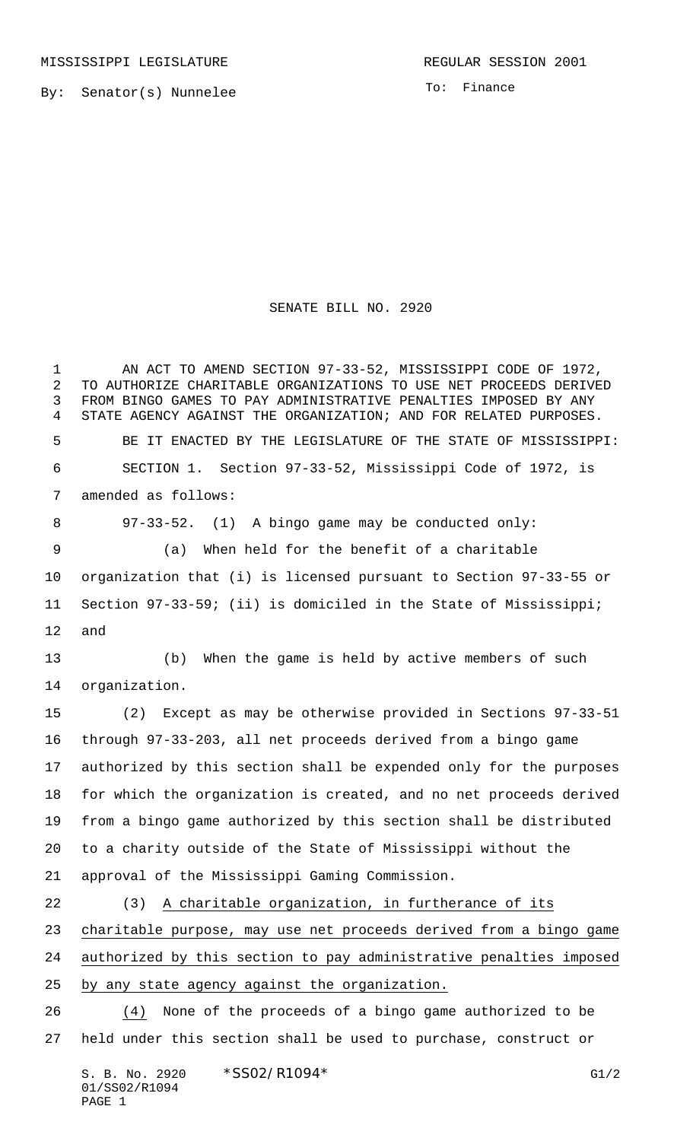MISSISSIPPI LEGISLATURE **REGULAR SESSION 2001** 

By: Senator(s) Nunnelee

To: Finance

## SENATE BILL NO. 2920

 AN ACT TO AMEND SECTION 97-33-52, MISSISSIPPI CODE OF 1972, TO AUTHORIZE CHARITABLE ORGANIZATIONS TO USE NET PROCEEDS DERIVED FROM BINGO GAMES TO PAY ADMINISTRATIVE PENALTIES IMPOSED BY ANY STATE AGENCY AGAINST THE ORGANIZATION; AND FOR RELATED PURPOSES. BE IT ENACTED BY THE LEGISLATURE OF THE STATE OF MISSISSIPPI: SECTION 1. Section 97-33-52, Mississippi Code of 1972, is amended as follows: 97-33-52. (1) A bingo game may be conducted only: (a) When held for the benefit of a charitable organization that (i) is licensed pursuant to Section 97-33-55 or Section 97-33-59; (ii) is domiciled in the State of Mississippi; and (b) When the game is held by active members of such organization. (2) Except as may be otherwise provided in Sections 97-33-51 through 97-33-203, all net proceeds derived from a bingo game authorized by this section shall be expended only for the purposes for which the organization is created, and no net proceeds derived from a bingo game authorized by this section shall be distributed to a charity outside of the State of Mississippi without the approval of the Mississippi Gaming Commission. (3) A charitable organization, in furtherance of its charitable purpose, may use net proceeds derived from a bingo game authorized by this section to pay administrative penalties imposed by any state agency against the organization. (4) None of the proceeds of a bingo game authorized to be held under this section shall be used to purchase, construct or

S. B. No. 2920 \* SSO2/R1094\* G1/2 01/SS02/R1094 PAGE 1